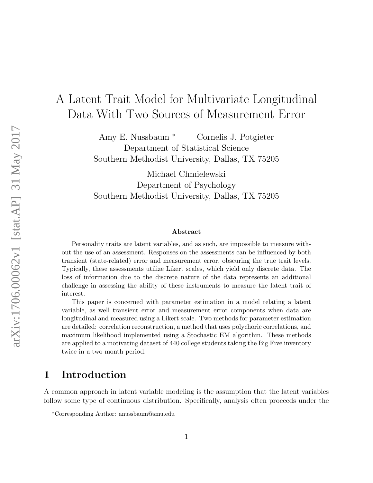# A Latent Trait Model for Multivariate Longitudinal Data With Two Sources of Measurement Error

Amy E. Nussbaum <sup>∗</sup> Cornelis J. Potgieter Department of Statistical Science Southern Methodist University, Dallas, TX 75205

Michael Chmielewski Department of Psychology Southern Methodist University, Dallas, TX 75205

#### Abstract

Personality traits are latent variables, and as such, are impossible to measure without the use of an assessment. Responses on the assessments can be influenced by both transient (state-related) error and measurement error, obscuring the true trait levels. Typically, these assessments utilize Likert scales, which yield only discrete data. The loss of information due to the discrete nature of the data represents an additional challenge in assessing the ability of these instruments to measure the latent trait of interest.

This paper is concerned with parameter estimation in a model relating a latent variable, as well transient error and measurement error components when data are longitudinal and measured using a Likert scale. Two methods for parameter estimation are detailed: correlation reconstruction, a method that uses polychoric correlations, and maximum likelihood implemented using a Stochastic EM algorithm. These methods are applied to a motivating dataset of 440 college students taking the Big Five inventory twice in a two month period.

## 1 Introduction

A common approach in latent variable modeling is the assumption that the latent variables follow some type of continuous distribution. Specifically, analysis often proceeds under the

<sup>∗</sup>Corresponding Author: anussbaum@smu.edu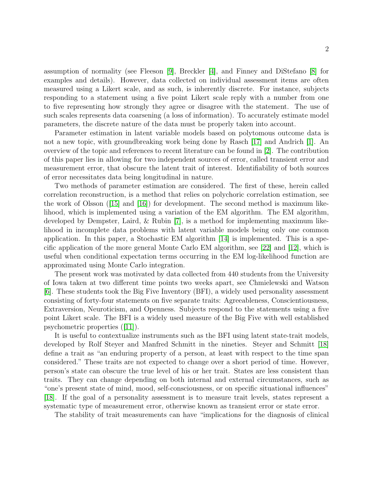assumption of normality (see Fleeson [\[9\]](#page-14-0), Breckler [\[4\]](#page-14-1), and Finney and DiStefano [\[8\]](#page-14-2) for examples and details). However, data collected on individual assessment items are often measured using a Likert scale, and as such, is inherently discrete. For instance, subjects responding to a statement using a five point Likert scale reply with a number from one to five representing how strongly they agree or disagree with the statement. The use of such scales represents data coarsening (a loss of information). To accurately estimate model parameters, the discrete nature of the data must be properly taken into account.

Parameter estimation in latent variable models based on polytomous outcome data is not a new topic, with groundbreaking work being done by Rasch [\[17\]](#page-15-0) and Andrich [\[1\]](#page-14-3). An overview of the topic and references to recent literature can be found in [\[2\]](#page-14-4). The contribution of this paper lies in allowing for two independent sources of error, called transient error and measurement error, that obscure the latent trait of interest. Identifiability of both sources of error necessitates data being longitudinal in nature.

Two methods of parameter estimation are considered. The first of these, herein called correlation reconstruction, is a method that relies on polychoric correlation estimation, see the work of Olsson  $(15)$  and  $(16)$  for development. The second method is maximum likelihood, which is implemented using a variation of the EM algorithm. The EM algorithm, developed by Dempster, Laird, & Rubin [\[7\]](#page-14-5), is a method for implementing maximum likelihood in incomplete data problems with latent variable models being only one common application. In this paper, a Stochastic EM algorithm [\[14\]](#page-15-3) is implemented. This is a specific application of the more general Monte Carlo EM algorithm, see [\[22\]](#page-15-4) and [\[12\]](#page-14-6), which is useful when conditional expectation terms occurring in the EM log-likelihood function are approximated using Monte Carlo integration.

The present work was motivated by data collected from 440 students from the University of Iowa taken at two different time points two weeks apart, see Chmielewski and Watson [\[6\]](#page-14-7). These students took the Big Five Inventory (BFI), a widely used personality assessment consisting of forty-four statements on five separate traits: Agreeableness, Conscientiousness, Extraversion, Neuroticism, and Openness. Subjects respond to the statements using a five point Likert scale. The BFI is a widely used measure of the Big Five with well established psychometric properties ([\[11\]](#page-14-8)).

It is useful to contextualize instruments such as the BFI using latent state-trait models, developed by Rolf Steyer and Manfred Schmitt in the nineties. Steyer and Schmitt [\[18\]](#page-15-5) define a trait as "an enduring property of a person, at least with respect to the time span considered." These traits are not expected to change over a short period of time. However, person's state can obscure the true level of his or her trait. States are less consistent than traits. They can change depending on both internal and external circumstances, such as "one's present state of mind, mood, self-consciousness, or on specific situational influences" [\[18\]](#page-15-5). If the goal of a personality assessment is to measure trait levels, states represent a systematic type of measurement error, otherwise known as transient error or state error.

The stability of trait measurements can have "implications for the diagnosis of clinical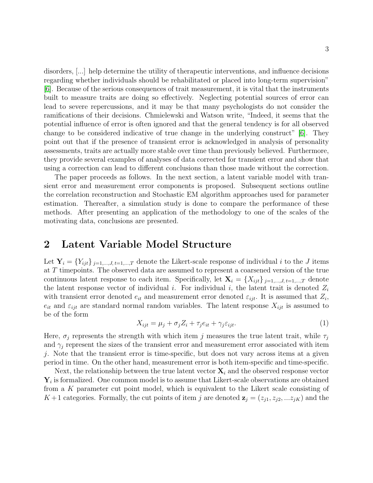disorders, [...] help determine the utility of therapeutic interventions, and influence decisions regarding whether individuals should be rehabilitated or placed into long-term supervision" [\[6\]](#page-14-7). Because of the serious consequences of trait measurement, it is vital that the instruments built to measure traits are doing so effectively. Neglecting potential sources of error can lead to severe repercussions, and it may be that many psychologists do not consider the ramifications of their decisions. Chmielewski and Watson write, "Indeed, it seems that the potential influence of error is often ignored and that the general tendency is for all observed change to be considered indicative of true change in the underlying construct" [\[6\]](#page-14-7). They point out that if the presence of transient error is acknowledged in analysis of personality assessments, traits are actually more stable over time than previously believed. Furthermore, they provide several examples of analyses of data corrected for transient error and show that using a correction can lead to different conclusions than those made without the correction.

The paper proceeds as follows. In the next section, a latent variable model with transient error and measurement error components is proposed. Subsequent sections outline the correlation reconstruction and Stochastic EM algorithm approaches used for parameter estimation. Thereafter, a simulation study is done to compare the performance of these methods. After presenting an application of the methodology to one of the scales of the motivating data, conclusions are presented.

## 2 Latent Variable Model Structure

Let  $\mathbf{Y}_i = \{Y_{ijt}\}_{j=1,\dots,J, t=1,\dots,T}$  denote the Likert-scale response of individual i to the J items at T timepoints. The observed data are assumed to represent a coarsened version of the true continuous latent response to each item. Specifically, let  $\mathbf{X}_i = \{X_{ijt}\}_{j=1,\dots,J, t=1,\dots,T}$  denote the latent response vector of individual i. For individual i, the latent trait is denoted  $Z_i$ with transient error denoted  $e_{it}$  and measurement error denoted  $\varepsilon_{ijt}$ . It is assumed that  $Z_i$ ,  $e_{it}$  and  $\varepsilon_{ijt}$  are standard normal random variables. The latent response  $X_{ijt}$  is assumed to be of the form

<span id="page-2-0"></span>
$$
X_{ijt} = \mu_j + \sigma_j Z_i + \tau_j e_{it} + \gamma_j \varepsilon_{ijt}.
$$
\n<sup>(1)</sup>

Here,  $\sigma_j$  represents the strength with which item j measures the true latent trait, while  $\tau_j$ and  $\gamma_i$  represent the sizes of the transient error and measurement error associated with item j. Note that the transient error is time-specific, but does not vary across items at a given period in time. On the other hand, measurement error is both item-specific and time-specific.

Next, the relationship between the true latent vector  $\mathbf{X}_i$  and the observed response vector  $Y_i$  is formalized. One common model is to assume that Likert-scale observations are obtained from a K parameter cut point model, which is equivalent to the Likert scale consisting of  $K+1$  categories. Formally, the cut points of item j are denoted  $\mathbf{z}_j = (z_{j1}, z_{j2},...z_{jK})$  and the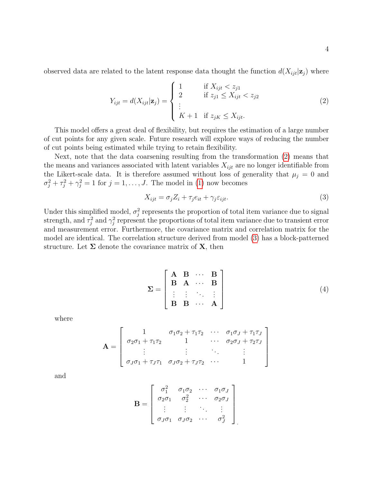observed data are related to the latent response data thought the function  $d(X_{ijt}|\mathbf{z}_j)$  where

<span id="page-3-0"></span>
$$
Y_{ijt} = d(X_{ijt}|\mathbf{z}_j) = \begin{cases} 1 & \text{if } X_{ijt} < z_{j1} \\ 2 & \text{if } z_{j1} \le X_{ijt} < z_{j2} \\ \vdots & \vdots \\ K+1 & \text{if } z_{jK} \le X_{ijt}. \end{cases} \tag{2}
$$

This model offers a great deal of flexibility, but requires the estimation of a large number of cut points for any given scale. Future research will explore ways of reducing the number of cut points being estimated while trying to retain flexibility.

Next, note that the data coarsening resulting from the transformation [\(2\)](#page-3-0) means that the means and variances associated with latent variables  $X_{ijt}$  are no longer identifiable from the Likert-scale data. It is therefore assumed without loss of generality that  $\mu_j = 0$  and  $\sigma_j^2 + \tau_j^2 + \gamma_j^2 = 1$  for  $j = 1, \ldots, J$ . The model in [\(1\)](#page-2-0) now becomes

<span id="page-3-1"></span>
$$
X_{ijt} = \sigma_j Z_i + \tau_j e_{it} + \gamma_j \varepsilon_{ijt}.
$$
\n
$$
(3)
$$

Under this simplified model,  $\sigma_j^2$  represents the proportion of total item variance due to signal strength, and  $\tau_j^2$  and  $\gamma_j^2$  represent the proportions of total item variance due to transient error and measurement error. Furthermore, the covariance matrix and correlation matrix for the model are identical. The correlation structure derived from model [\(3\)](#page-3-1) has a block-patterned structure. Let  $\Sigma$  denote the covariance matrix of  $X$ , then

<span id="page-3-2"></span>
$$
\Sigma = \begin{bmatrix} \mathbf{A} & \mathbf{B} & \cdots & \mathbf{B} \\ \mathbf{B} & \mathbf{A} & \cdots & \mathbf{B} \\ \vdots & \vdots & \ddots & \vdots \\ \mathbf{B} & \mathbf{B} & \cdots & \mathbf{A} \end{bmatrix}
$$
(4)

where

$$
\mathbf{A} = \begin{bmatrix} 1 & \sigma_1 \sigma_2 + \tau_1 \tau_2 & \cdots & \sigma_1 \sigma_J + \tau_1 \tau_J \\ \sigma_2 \sigma_1 + \tau_1 \tau_2 & 1 & \cdots & \sigma_2 \sigma_J + \tau_2 \tau_J \\ \vdots & \vdots & \ddots & \vdots \\ \sigma_J \sigma_1 + \tau_J \tau_1 & \sigma_J \sigma_2 + \tau_J \tau_2 & \cdots & 1 \end{bmatrix}
$$

and

$$
\mathbf{B} = \begin{bmatrix} \sigma_1^2 & \sigma_1 \sigma_2 & \cdots & \sigma_1 \sigma_J \\ \sigma_2 \sigma_1 & \sigma_2^2 & \cdots & \sigma_2 \sigma_J \\ \vdots & \vdots & \ddots & \vdots \\ \sigma_J \sigma_1 & \sigma_J \sigma_2 & \cdots & \sigma_J^2 \end{bmatrix}
$$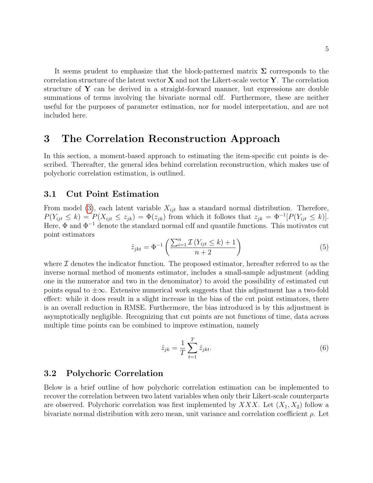It seems prudent to emphasize that the block-patterned matrix  $\Sigma$  corresponds to the correlation structure of the latent vector  $X$  and not the Likert-scale vector  $Y$ . The correlation structure of  $\bf{Y}$  can be derived in a straight-forward manner, but expressions are double summations of terms involving the bivariate normal cdf. Furthermore, these are neither useful for the purposes of parameter estimation, nor for model interpretation, and are not included here.

### 3 The Correlation Reconstruction Approach

In this section, a moment-based approach to estimating the item-specific cut points is described. Thereafter, the general idea behind correlation reconstruction, which makes use of polychoric correlation estimation, is outlined.

#### 3.1 Cut Point Estimation

From model [\(3\)](#page-3-1), each latent variable  $X_{ijt}$  has a standard normal distribution. Therefore,  $P(Y_{ijt} \le k) = P(X_{ijt} \le z_{jk}) = \Phi(z_{jk})$  from which it follows that  $z_{jk} = \Phi^{-1}[P(Y_{ijt} \le k)].$ Here,  $\Phi$  and  $\Phi^{-1}$  denote the standard normal cdf and quantile functions. This motivates cut point estimators

<span id="page-4-1"></span>
$$
\hat{z}_{jkt} = \Phi^{-1}\left(\frac{\sum_{i=1}^{n} \mathcal{I}\left(Y_{ijt} \leq k\right) + 1}{n+2}\right) \tag{5}
$$

where  $\mathcal I$  denotes the indicator function. The proposed estimator, hereafter referred to as the inverse normal method of moments estimator, includes a small-sample adjustment (adding one in the numerator and two in the denominator) to avoid the possibility of estimated cut points equal to  $\pm\infty$ . Extensive numerical work suggests that this adjustment has a two-fold effect: while it does result in a slight increase in the bias of the cut point estimators, there is an overall reduction in RMSE. Furthermore, the bias introduced is by this adjustment is asymptotically negligible. Recognizing that cut points are not functions of time, data across multiple time points can be combined to improve estimation, namely

<span id="page-4-0"></span>
$$
\hat{z}_{jk} = \frac{1}{T} \sum_{t=1}^{T} \hat{z}_{jkt}.
$$
\n
$$
(6)
$$

#### 3.2 Polychoric Correlation

Below is a brief outline of how polychoric correlation estimation can be implemented to recover the correlation between two latent variables when only their Likert-scale counterparts are observed. Polychoric correlation was first implemented by  $XXX$ . Let  $(X_1, X_2)$  follow a bivariate normal distribution with zero mean, unit variance and correlation coefficient  $\rho$ . Let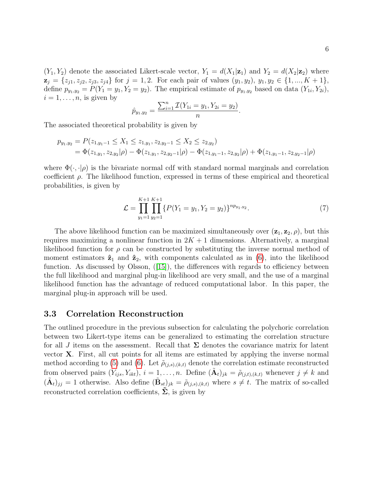$(Y_1, Y_2)$  denote the associated Likert-scale vector,  $Y_1 = d(X_1|\mathbf{z}_1)$  and  $Y_2 = d(X_2|\mathbf{z}_2)$  where  $z_j = \{z_{j1}, z_{j2}, z_{j3}, z_{j4}\}\$ for  $j = 1, 2$ . For each pair of values  $(y_1, y_2), y_1, y_2 \in \{1, ..., K + 1\},\$ define  $p_{y_1,y_2} = P(Y_1 = y_1, Y_2 = y_2)$ . The empirical estimate of  $p_{y_1,y_2}$  based on data  $(Y_{1i}, Y_{2i})$ ,  $i = 1, \ldots, n$ , is given by

$$
\hat{p}_{y_1,y_2} = \frac{\sum_{i=1}^n \mathcal{I}(Y_{1i} = y_1, Y_{2i} = y_2)}{n}.
$$

The associated theoretical probability is given by

$$
p_{y_1,y_2} = P(z_{1,y_1-1} \le X_1 \le z_{1,y_1}, z_{2,y_2-1} \le X_2 \le z_{2,y_2})
$$
  
=  $\Phi(z_{1,y_1}, z_{2,y_2}|\rho) - \Phi(z_{1,y_1}, z_{2,y_2-1}|\rho) - \Phi(z_{1,y_1-1}, z_{2,y_2}|\rho) + \Phi(z_{1,y_1-1}, z_{2,y_2-1}|\rho)$ 

where  $\Phi(\cdot, \cdot | \rho)$  is the bivariate normal cdf with standard normal marginals and correlation coefficient  $\rho$ . The likelihood function, expressed in terms of these empirical and theoretical probabilities, is given by

$$
\mathcal{L} = \prod_{y_1=1}^{K+1} \prod_{y_2=1}^{K+1} \{ P(Y_1 = y_1, Y_2 = y_2) \}^{n p_{y_1, y_2}}.
$$
\n
$$
(7)
$$

The above likelihood function can be maximized simultaneously over  $(\mathbf{z}_1, \mathbf{z}_2, \rho)$ , but this requires maximizing a nonlinear function in  $2K + 1$  dimensions. Alternatively, a marginal likelihood function for  $\rho$  can be constructed by substituting the inverse normal method of moment estimators  $\hat{\mathbf{z}}_1$  and  $\hat{\mathbf{z}}_2$ , with components calculated as in [\(6\)](#page-4-0), into the likelihood function. As discussed by Olsson,  $(15)$ , the differences with regards to efficiency between the full likelihood and marginal plug-in likelihood are very small, and the use of a marginal likelihood function has the advantage of reduced computational labor. In this paper, the marginal plug-in approach will be used.

#### 3.3 Correlation Reconstruction

The outlined procedure in the previous subsection for calculating the polychoric correlation between two Likert-type items can be generalized to estimating the correlation structure for all J items on the assessment. Recall that  $\Sigma$  denotes the covariance matrix for latent vector X. First, all cut points for all items are estimated by applying the inverse normal method according to [\(5\)](#page-4-1) and [\(6\)](#page-4-0). Let  $\tilde{\rho}_{(j,s),(k,t)}$  denote the correlation estimate reconstructed from observed pairs  $(Y_{ijs}, Y_{ikt}), i = 1, \ldots, n$ . Define  $({\tilde{\bf{A}}_t})_{jk} = \tilde{\rho}_{(j,t),(k,t)}$  whenever  $j \neq k$  and  $({\tilde{\bf{A}}_t})_{jj} = 1$  otherwise. Also define  $({\tilde{\bf{B}}_{st}})_{jk} = \tilde{\rho}_{(j,s),(k,t)}$  where  $s \neq t$ . The matrix of so-called reconstructed correlation coefficients,  $\Sigma$ , is given by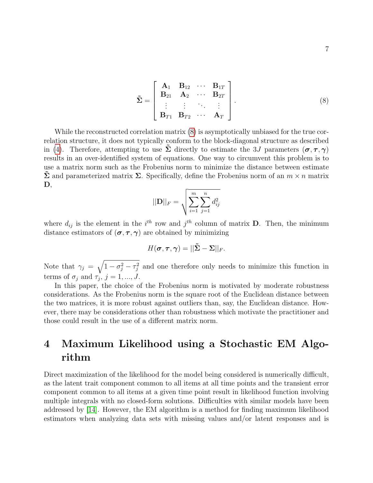<span id="page-6-0"></span>
$$
\tilde{\Sigma} = \begin{bmatrix}\n\mathbf{A}_1 & \mathbf{B}_{12} & \cdots & \mathbf{B}_{1T} \\
\mathbf{B}_{21} & \mathbf{A}_2 & \cdots & \mathbf{B}_{2T} \\
\vdots & \vdots & \ddots & \vdots \\
\mathbf{B}_{T1} & \mathbf{B}_{T2} & \cdots & \mathbf{A}_T\n\end{bmatrix}.
$$
\n(8)

While the reconstructed correlation matrix [\(8\)](#page-6-0) is asymptotically unbiased for the true correlation structure, it does not typically conform to the block-diagonal structure as described in [\(4\)](#page-3-2). Therefore, attempting to use  $\Sigma$  directly to estimate the 3J parameters  $(\sigma, \tau, \gamma)$ results in an over-identified system of equations. One way to circumvent this problem is to use a matrix norm such as the Frobenius norm to minimize the distance between estimate  $\Sigma$  and parameterized matrix  $\Sigma$ . Specifically, define the Frobenius norm of an  $m \times n$  matrix D,

$$
||\mathbf{D}||_F = \sqrt{\sum_{i=1}^{m} \sum_{j=1}^{n} d_{ij}^2}
$$

where  $d_{ij}$  is the element in the  $i^{th}$  row and  $j^{th}$  column of matrix **D**. Then, the minimum distance estimators of  $(\sigma, \tau, \gamma)$  are obtained by minimizing

$$
H(\boldsymbol{\sigma},\boldsymbol{\tau},\boldsymbol{\gamma})=||\tilde{\boldsymbol{\Sigma}}-\boldsymbol{\Sigma}||_F.
$$

Note that  $\gamma_j = \sqrt{1 - \sigma_j^2 - \tau_j^2}$  and one therefore only needs to minimize this function in terms of  $\sigma_j$  and  $\tau_j$ ,  $j = 1, ..., J$ .

In this paper, the choice of the Frobenius norm is motivated by moderate robustness considerations. As the Frobenius norm is the square root of the Euclidean distance between the two matrices, it is more robust against outliers than, say, the Euclidean distance. However, there may be considerations other than robustness which motivate the practitioner and those could result in the use of a different matrix norm.

# 4 Maximum Likelihood using a Stochastic EM Algorithm

Direct maximization of the likelihood for the model being considered is numerically difficult, as the latent trait component common to all items at all time points and the transient error component common to all items at a given time point result in likelihood function involving multiple integrals with no closed-form solutions. Difficulties with similar models have been addressed by [\[14\]](#page-15-3). However, the EM algorithm is a method for finding maximum likelihood estimators when analyzing data sets with missing values and/or latent responses and is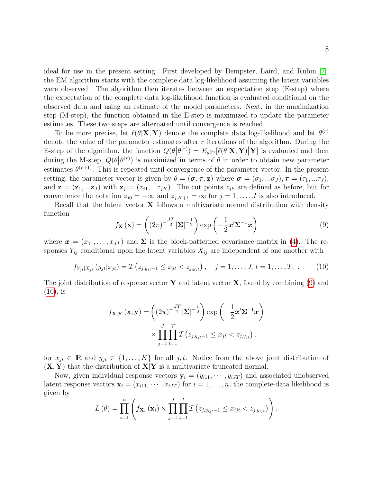ideal for use in the present setting. First developed by Dempster, Laird, and Rubin [\[7\]](#page-14-5), the EM algorithm starts with the complete data log-likelihood assuming the latent variables were observed. The algorithm then iterates between an expectation step (E-step) where the expectation of the complete data log-likelihood function is evaluated conditional on the observed data and using an estimate of the model parameters. Next, in the maximization step (M-step), the function obtained in the E-step is maximized to update the parameter estimates. These two steps are alternated until convergence is reached.

To be more precise, let  $\ell(\theta|\mathbf{X}, \mathbf{Y})$  denote the complete data log-likelihood and let  $\theta^{(r)}$ denote the value of the parameter estimates after  $r$  iterations of the algorithm. During the E-step of the algorithm, the function  $Q(\theta|\theta^{(r)}) = E_{\theta^{(r)}}[\ell(\theta|\mathbf{X}, \mathbf{Y})|\mathbf{Y}]$  is evaluated and then during the M-step,  $Q(\theta|\theta^{(r)})$  is maximized in terms of  $\theta$  in order to obtain new parameter estimates  $\theta^{(r+1)}$ . This is repeated until convergence of the parameter vector. In the present setting, the parameter vector is given by  $\theta = (\sigma, \tau, z)$  where  $\sigma = (\sigma_1, \dots, \sigma_J), \tau = (\tau_1, \dots, \tau_J)$ , and  $\mathbf{z} = (\mathbf{z}_1, \dots, \mathbf{z}_J)$  with  $\mathbf{z}_j = (z_{j1}, \dots, z_{jK})$ . The cut points  $z_{jk}$  are defined as before, but for convenience the notation  $z_{j0} = -\infty$  and  $z_{j,K+1} = \infty$  for  $j = 1, \ldots, J$  is also introduced.

Recall that the latent vector  $X$  follows a multivariate normal distribution with density function

<span id="page-7-0"></span>
$$
f_{\mathbf{X}}\left(\mathbf{x}\right) = \left(\left(2\pi\right)^{-\frac{JT}{2}}\left|\mathbf{\Sigma}\right|^{-\frac{1}{2}}\right)\exp\left(-\frac{1}{2}\mathbf{x}'\mathbf{\Sigma}^{-1}\mathbf{x}\right)
$$
\n(9)

where  $\mathbf{x} = (x_{11}, \ldots, x_{JT})$  and  $\Sigma$  is the block-patterned covariance matrix in [\(4\)](#page-3-2). The responses  $Y_{ij}$  conditional upon the latent variables  $X_{ij}$  are independent of one another with

<span id="page-7-1"></span>
$$
f_{Y_{jt}|X_{jt}}(y_{jt}|x_{jt}) = \mathcal{I}(z_{j,y_{jt}-1} \leq x_{jt} < z_{j,y_{jt}}), \quad j = 1, \dots, J, t = 1, \dots, T, \tag{10}
$$

The joint distribution of response vector Y and latent vector  $X$ , found by combining [\(9\)](#page-7-0) and  $(10)$ , is

$$
f_{\mathbf{X},\mathbf{Y}}(\mathbf{x},\mathbf{y}) = \left( (2\pi)^{-\frac{JT}{2}} |\mathbf{\Sigma}|^{-\frac{1}{2}} \right) \exp\left( -\frac{1}{2} \mathbf{x}' \mathbf{\Sigma}^{-1} \mathbf{x} \right)
$$

$$
\times \prod_{j=1}^{J} \prod_{t=1}^{T} \mathcal{I}\left( z_{j,y_{jt}-1} \leq x_{jt} < z_{j,y_{jt}} \right).
$$

for  $x_{jt} \in \mathbb{R}$  and  $y_{jt} \in \{1, ..., K\}$  for all j, t. Notice from the above joint distribution of  $(X, Y)$  that the distribution of  $X|Y$  is a multivariate truncated normal.

Now, given individual response vectors  $y_i = (y_{i11}, \dots, y_{iJT})$  and associated unobserved latent response vectors  $\mathbf{x}_i = (x_{i11}, \dots, x_{iJT})$  for  $i = 1, \dots, n$ , the complete-data likelihood is given by

$$
L(\theta) = \prod_{i=1}^{n} \left( f_{\mathbf{X}_i}(\mathbf{x}_i) \times \prod_{j=1}^{J} \prod_{t=1}^{T} \mathcal{I}(z_{j,y_{ijt}-1} \leq x_{ijt} < z_{j,y_{ijt}}) \right).
$$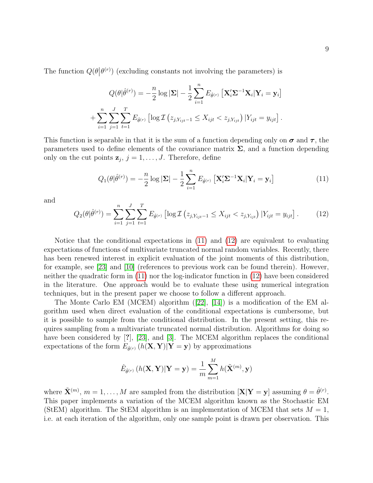The function  $Q(\theta | \theta^{(r)})$  (excluding constants not involving the parameters) is

$$
Q(\theta|\hat{\theta}^{(r)}) = -\frac{n}{2}\log|\mathbf{\Sigma}| - \frac{1}{2}\sum_{i=1}^{n} E_{\hat{\theta}^{(r)}} [\mathbf{X}_{i}'\mathbf{\Sigma}^{-1}\mathbf{X}_{i}|\mathbf{Y}_{i} = \mathbf{y}_{i}] + \sum_{i=1}^{n} \sum_{j=1}^{J} \sum_{t=1}^{T} E_{\hat{\theta}^{(r)}} [\log \mathcal{I}(z_{j,Y_{ijt}-1} \leq X_{ijt} < z_{j,Y_{ijt}}) | Y_{ijt} = y_{ijt}].
$$

This function is separable in that it is the sum of a function depending only on  $\sigma$  and  $\tau$ , the parameters used to define elements of the covariance matrix  $\Sigma$ , and a function depending only on the cut points  $z_j$ ,  $j = 1, \ldots, J$ . Therefore, define

<span id="page-8-0"></span>
$$
Q_1(\theta|\hat{\theta}^{(r)}) = -\frac{n}{2}\log|\mathbf{\Sigma}| - \frac{1}{2}\sum_{i=1}^n E_{\hat{\theta}^{(r)}}\left[\mathbf{X}_i'\mathbf{\Sigma}^{-1}\mathbf{X}_i|\mathbf{Y}_i = \mathbf{y}_i\right]
$$
(11)

and

<span id="page-8-1"></span>
$$
Q_2(\theta|\hat{\theta}^{(r)}) = \sum_{i=1}^n \sum_{j=1}^J \sum_{t=1}^T E_{\hat{\theta}^{(r)}} \left[ \log \mathcal{I} \left( z_{j, Y_{ijt}-1} \le X_{ijt} < z_{j, Y_{ijt}} \right) | Y_{ijt} = y_{ijt} \right]. \tag{12}
$$

Notice that the conditional expectations in [\(11\)](#page-8-0) and [\(12\)](#page-8-1) are equivalent to evaluating expectations of functions of multivariate truncated normal random variables. Recently, there has been renewed interest in explicit evaluation of the joint moments of this distribution, for example, see [\[23\]](#page-15-6) and [\[10\]](#page-14-9) (references to previous work can be found therein). However, neither the quadratic form in [\(11\)](#page-8-0) nor the log-indicator function in [\(12\)](#page-8-1) have been considered in the literature. One approach would be to evaluate these using numerical integration techniques, but in the present paper we choose to follow a different approach.

The Monte Carlo EM (MCEM) algorithm ([\[22\]](#page-15-4), [\[14\]](#page-15-3)) is a modification of the EM algorithm used when direct evaluation of the conditional expectations is cumbersome, but it is possible to sample from the conditional distribution. In the present setting, this requires sampling from a multivariate truncated normal distribution. Algorithms for doing so have been considered by [?], [\[23\]](#page-15-6), and [\[3\]](#page-14-10). The MCEM algorithm replaces the conditional expectations of the form  $E_{\hat{\theta}^{(r)}}(h(\mathbf{X}, \mathbf{Y}) | \mathbf{Y} = \mathbf{y})$  by approximations

$$
\hat{E}_{\hat{\theta}^{(r)}}\left(h(\mathbf{X}, \mathbf{Y}) | \mathbf{Y} = \mathbf{y}\right) = \frac{1}{m} \sum_{m=1}^{M} h(\tilde{\mathbf{X}}^{(m)}, \mathbf{y})
$$

where  $\tilde{\mathbf{X}}^{(m)}$ ,  $m = 1, \ldots, M$  are sampled from the distribution  $[\mathbf{X}|\mathbf{Y} = \mathbf{y}]$  assuming  $\theta = \hat{\theta}^{(r)}$ . This paper implements a variation of the MCEM algorithm known as the Stochastic EM (StEM) algorithm. The StEM algorithm is an implementation of MCEM that sets  $M = 1$ . i.e. at each iteration of the algorithm, only one sample point is drawn per observation. This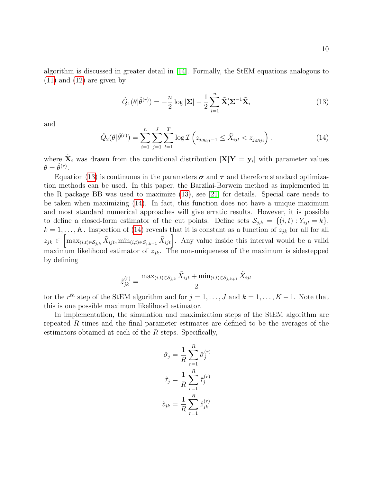algorithm is discussed in greater detail in [\[14\]](#page-15-3). Formally, the StEM equations analogous to [\(11\)](#page-8-0) and [\(12\)](#page-8-1) are given by

<span id="page-9-0"></span>
$$
\hat{Q}_1(\theta|\hat{\theta}^{(r)}) = -\frac{n}{2}\log|\mathbf{\Sigma}| - \frac{1}{2}\sum_{i=1}^n \tilde{\mathbf{X}}_i' \mathbf{\Sigma}^{-1} \tilde{\mathbf{X}}_i
$$
\n(13)

and

<span id="page-9-1"></span>
$$
\hat{Q}_2(\theta|\hat{\theta}^{(r)}) = \sum_{i=1}^n \sum_{j=1}^J \sum_{t=1}^T \log \mathcal{I}\left(z_{j,y_{ijt}-1} \le \tilde{X}_{ijt} < z_{j,y_{ijt}}\right). \tag{14}
$$

where  $\tilde{\mathbf{X}}_i$  was drawn from the conditional distribution  $[\mathbf{X}|\mathbf{Y}=\mathbf{y}_i]$  with parameter values  $\theta = \hat{\theta}^{(r)}$ .

Equation [\(13\)](#page-9-0) is continuous in the parameters  $\sigma$  and  $\tau$  and therefore standard optimization methods can be used. In this paper, the Barzilai-Borwein method as implemented in the R package BB was used to maximize [\(13\)](#page-9-0), see [\[21\]](#page-15-7) for details. Special care needs to be taken when maximizing [\(14\)](#page-9-1). In fact, this function does not have a unique maximum and most standard numerical approaches will give erratic results. However, it is possible to define a closed-form estimator of the cut points. Define sets  $S_{j,k} = \{(i,t): Y_{ijt} = k\},\$  $k = 1, \ldots, K$ . Inspection of [\(14\)](#page-9-1) reveals that it is constant as a function of  $z_{jk}$  for all for all  $z_{jk} \in \left[\max_{(i,t) \in \mathcal{S}_{j,k}} \tilde{X}_{ijt}, \min_{(i,t) \in \mathcal{S}_{j,k+1}} \tilde{X}_{ijt}\right]$ . Any value inside this interval would be a valid maximum likelihood estimator of  $z_{ik}$ . The non-uniqueness of the maximum is sidestepped by defining

$$
\hat{z}_{jk}^{(r)} = \frac{\max_{(i,t) \in \mathcal{S}_{j,k}} \tilde{X}_{ijt} + \min_{(i,t) \in \mathcal{S}_{j,k+1}} \tilde{X}_{ijt}}{2}
$$

for the  $r^{th}$  step of the StEM algorithm and for  $j = 1, \ldots, J$  and  $k = 1, \ldots, K - 1$ . Note that this is one possible maximum likelihood estimator.

In implementation, the simulation and maximization steps of the StEM algorithm are repeated  $R$  times and the final parameter estimates are defined to be the averages of the estimators obtained at each of the  $R$  steps. Specifically,

$$
\hat{\sigma}_j = \frac{1}{R} \sum_{r=1}^R \hat{\sigma}_j^{(r)}
$$

$$
\hat{\tau}_j = \frac{1}{R} \sum_{r=1}^R \hat{\tau}_j^{(r)}
$$

$$
\hat{z}_{jk} = \frac{1}{R} \sum_{r=1}^R \hat{z}_{jk}^{(r)}
$$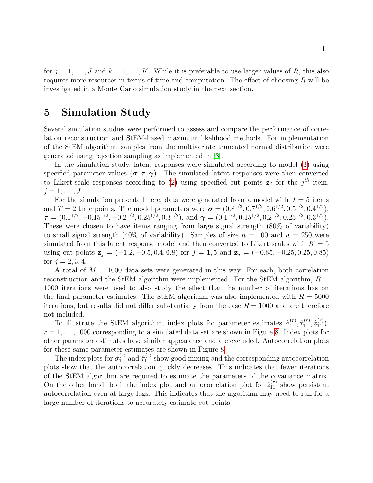for  $j = 1, \ldots, J$  and  $k = 1, \ldots, K$ . While it is preferable to use larger values of R, this also requires more resources in terms of time and computation. The effect of choosing  $R$  will be investigated in a Monte Carlo simulation study in the next section.

## 5 Simulation Study

Several simulation studies were performed to assess and compare the performance of correlation reconstruction and StEM-based maximum likelihood methods. For implementation of the StEM algorithm, samples from the multivariate truncated normal distribution were generated using rejection sampling as implemented in [\[3\]](#page-14-10).

In the simulation study, latent responses were simulated according to model [\(3\)](#page-3-1) using specified parameter values  $(\sigma, \tau, \gamma)$ . The simulated latent responses were then converted to Likert-scale responses according to [\(2\)](#page-3-0) using specified cut points  $z_j$  for the  $j<sup>th</sup>$  item,  $j=1,\ldots,J.$ 

For the simulation presented here, data were generated from a model with  $J = 5$  items and  $T = 2$  time points. The model parameters were  $\sigma = (0.8^{1/2}, 0.7^{1/2}, 0.6^{1/2}, 0.5^{1/2}, 0.4^{1/2}),$  $\boldsymbol{\tau} = (0.1^{1/2}, -0.15^{1/2}, -0.2^{1/2}, 0.25^{1/2}, 0.3^{1/2}), \text{ and } \boldsymbol{\gamma} = (0.1^{1/2}, 0.15^{1/2}, 0.2^{1/2}, 0.25^{1/2}, 0.3^{1/2}).$ These were chosen to have items ranging from large signal strength (80% of variability) to small signal strength (40% of variability). Samples of size  $n = 100$  and  $n = 250$  were simulated from this latent response model and then converted to Likert scales with  $K = 5$ using cut points  $z_j = (-1.2, -0.5, 0.4, 0.8)$  for  $j = 1, 5$  and  $z_j = (-0.85, -0.25, 0.25, 0.85)$ for  $j = 2, 3, 4$ .

A total of  $M = 1000$  data sets were generated in this way. For each, both correlation reconstruction and the StEM algorithm were implemented. For the StEM algorithm,  $R =$ 1000 iterations were used to also study the effect that the number of iterations has on the final parameter estimates. The StEM algorithm was also implemented with  $R = 5000$ iterations, but results did not differ substantially from the case  $R = 1000$  and are therefore not included.

To illustrate the StEM algorithm, index plots for parameter estimates  $\hat{\sigma}_{1}^{(r)}$  $\hat{\tau}_1^{(r)}, \hat{\tau}_1^{(r)}$  $\hat{z}_{11}^{(r)}, \hat{z}_{11}^{(r)}),$  $r = 1, \ldots, 1000$  corresponding to a simulated data set are shown in Figure [8.](#page-18-0) Index plots for other parameter estimates have similar appearance and are excluded. Autocorrelation plots for these same parameter estimates are shown in Figure [8.](#page-19-0)

The index plots for  $\hat{\sigma}_1^{(r)}$  $j_1^{(r)}$  and  $\hat{\tau}_1^{(r)}$  $1^{(r)}$  show good mixing and the corresponding autocorrelation plots show that the autocorrelation quickly decreases. This indicates that fewer iterations of the StEM algorithm are required to estimate the parameters of the covariance matrix. On the other hand, both the index plot and autocorrelation plot for  $\hat{z}_{11}^{(r)}$  show persistent autocorrelation even at large lags. This indicates that the algorithm may need to run for a large number of iterations to accurately estimate cut points.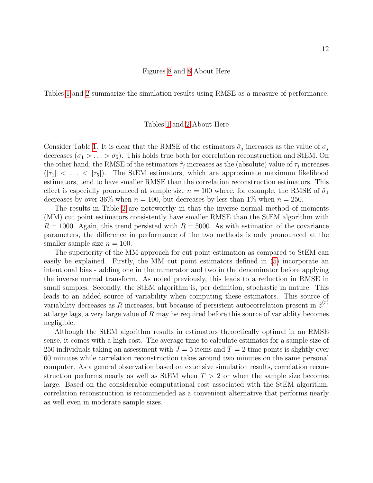#### Figures [8](#page-18-0) and [8](#page-19-0) About Here

Tables [1](#page-16-0) and [2](#page-17-0) summarize the simulation results using RMSE as a measure of performance.

#### Tables [1](#page-16-0) and [2](#page-17-0) About Here

Consider Table [1.](#page-16-0) It is clear that the RMSE of the estimators  $\hat{\sigma}_j$  increases as the value of  $\sigma_j$ decreases ( $\sigma_1 > \ldots > \sigma_5$ ). This holds true both for correlation reconstruction and StEM. On the other hand, the RMSE of the estimators  $\hat{\tau}_j$  increases as the (absolute) value of  $\tau_j$  increases  $(|\tau_1| < \ldots < |\tau_5|)$ . The StEM estimators, which are approximate maximum likelihood estimators, tend to have smaller RMSE than the correlation reconstruction estimators. This effect is especially pronounced at sample size  $n = 100$  where, for example, the RMSE of  $\hat{\sigma}_1$ decreases by over 36% when  $n = 100$ , but decreases by less than 1% when  $n = 250$ .

The results in Table [2](#page-17-0) are noteworthy in that the inverse normal method of moments (MM) cut point estimators consistently have smaller RMSE than the StEM algorithm with  $R = 1000$ . Again, this trend persisted with  $R = 5000$ . As with estimation of the covariance parameters, the difference in performance of the two methods is only pronounced at the smaller sample size  $n = 100$ .

The superiority of the MM approach for cut point estimation as compared to StEM can easily be explained. Firstly, the MM cut point estimators defined in [\(5\)](#page-4-1) incorporate an intentional bias - adding one in the numerator and two in the denominator before applying the inverse normal transform. As noted previously, this leads to a reduction in RMSE in small samples. Secondly, the StEM algorithm is, per definition, stochastic in nature. This leads to an added source of variability when computing these estimators. This source of variability decreases as R increases, but because of persistent autocorrelation present in  $\hat{z}^{(r)}$ . at large lags, a very large value of R may be required before this source of variablity becomes negligible.

Although the StEM algorithm results in estimators theoretically optimal in an RMSE sense, it comes with a high cost. The average time to calculate estimates for a sample size of 250 individuals taking an assessment with  $J = 5$  items and  $T = 2$  time points is slightly over 60 minutes while correlation reconstruction takes around two minutes on the same personal computer. As a general observation based on extensive simulation results, correlation reconstruction performs nearly as well as StEM when  $T > 2$  or when the sample size becomes large. Based on the considerable computational cost associated with the StEM algorithm, correlation reconstruction is recommended as a convenient alternative that performs nearly as well even in moderate sample sizes.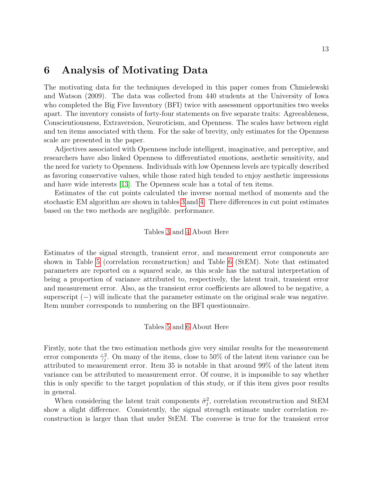### 6 Analysis of Motivating Data

The motivating data for the techniques developed in this paper comes from Chmielewski and Watson (2009). The data was collected from 440 students at the University of Iowa who completed the Big Five Inventory (BFI) twice with assessment opportunities two weeks apart. The inventory consists of forty-four statements on five separate traits: Agreeableness, Conscientiousness, Extraversion, Neuroticism, and Openness. The scales have between eight and ten items associated with them. For the sake of brevity, only estimates for the Openness scale are presented in the paper.

Adjectives associated with Openness include intelligent, imaginative, and perceptive, and researchers have also linked Openness to differentiated emotions, aesthetic sensitivity, and the need for variety to Openness. Individuals with low Openness levels are typically described as favoring conservative values, while those rated high tended to enjoy aesthetic impressions and have wide interests [\[13\]](#page-15-8). The Openness scale has a total of ten items.

Estimates of the cut points calculated the inverse normal method of moments and the stochastic EM algorithm are shown in tables [3](#page-17-1) and [4.](#page-18-1) There differences in cut point estimates based on the two methods are negligible. performance.

#### Tables [3](#page-17-1) and [4](#page-18-1) About Here

Estimates of the signal strength, transient error, and measurement error components are shown in Table [5](#page-18-2) (correlation reconstruction) and Table [6](#page-18-0) (StEM). Note that estimated parameters are reported on a squared scale, as this scale has the natural interpretation of being a proportion of variance attributed to, respectively, the latent trait, transient error and measurement error. Also, as the transient error coefficients are allowed to be negative, a superscript  $(-)$  will indicate that the parameter estimate on the original scale was negative. Item number corresponds to numbering on the BFI questionnaire.

#### Tables [5](#page-18-2) and [6](#page-18-0) About Here

Firstly, note that the two estimation methods give very similar results for the measurement error components  $\hat{\gamma}_j^2$ . On many of the items, close to 50% of the latent item variance can be attributed to measurement error. Item 35 is notable in that around 99% of the latent item variance can be attributed to measurement error. Of course, it is impossible to say whether this is only specific to the target population of this study, or if this item gives poor results in general.

When considering the latent trait components  $\hat{\sigma}_j^2$ , correlation reconstruction and StEM show a slight difference. Consistently, the signal strength estimate under correlation reconstruction is larger than that under StEM. The converse is true for the transient error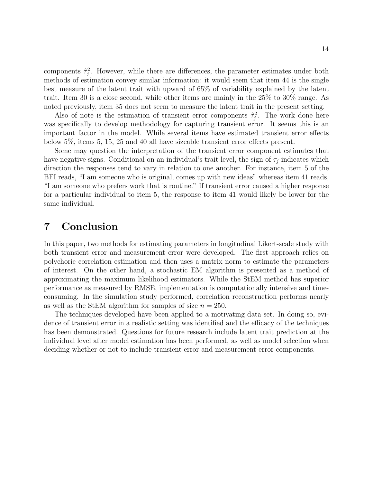components  $\hat{\tau}_j^2$ . However, while there are differences, the parameter estimates under both methods of estimation convey similar information: it would seem that item 44 is the single best measure of the latent trait with upward of 65% of variability explained by the latent trait. Item 30 is a close second, while other items are mainly in the 25% to 30% range. As noted previously, item 35 does not seem to measure the latent trait in the present setting.

Also of note is the estimation of transient error components  $\hat{\tau}_j^2$ . The work done here was specifically to develop methodology for capturing transient error. It seems this is an important factor in the model. While several items have estimated transient error effects below 5%, items 5, 15, 25 and 40 all have sizeable transient error effects present.

Some may question the interpretation of the transient error component estimates that have negative signs. Conditional on an individual's trait level, the sign of  $\tau_j$  indicates which direction the responses tend to vary in relation to one another. For instance, item 5 of the BFI reads, "I am someone who is original, comes up with new ideas" whereas item 41 reads, "I am someone who prefers work that is routine." If transient error caused a higher response for a particular individual to item 5, the response to item 41 would likely be lower for the same individual.

## 7 Conclusion

In this paper, two methods for estimating parameters in longitudinal Likert-scale study with both transient error and measurement error were developed. The first approach relies on polychoric correlation estimation and then uses a matrix norm to estimate the parameters of interest. On the other hand, a stochastic EM algorithm is presented as a method of approximating the maximum likelihood estimators. While the StEM method has superior performance as measured by RMSE, implementation is computationally intensive and timeconsuming. In the simulation study performed, correlation reconstruction performs nearly as well as the StEM algorithm for samples of size  $n = 250$ .

The techniques developed have been applied to a motivating data set. In doing so, evidence of transient error in a realistic setting was identified and the efficacy of the techniques has been demonstrated. Questions for future research include latent trait prediction at the individual level after model estimation has been performed, as well as model selection when deciding whether or not to include transient error and measurement error components.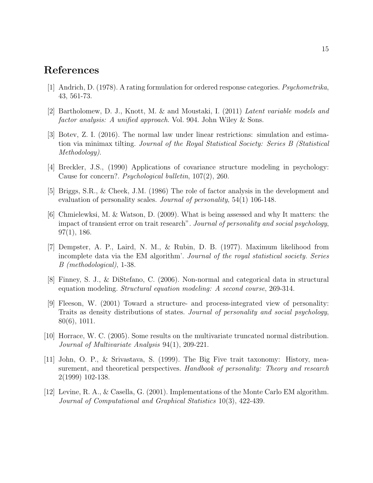### References

- <span id="page-14-3"></span>[1] Andrich, D. (1978). A rating formulation for ordered response categories. Psychometrika, 43, 561-73.
- <span id="page-14-4"></span>[2] Bartholomew, D. J., Knott, M. & and Moustaki, I. (2011) Latent variable models and factor analysis: A unified approach. Vol. 904. John Wiley & Sons.
- <span id="page-14-10"></span>[3] Botev, Z. I. (2016). The normal law under linear restrictions: simulation and estimation via minimax tilting. Journal of the Royal Statistical Society: Series B (Statistical Methodology).
- <span id="page-14-1"></span>[4] Breckler, J.S., (1990) Applications of covariance structure modeling in psychology: Cause for concern?. Psychological bulletin, 107(2), 260.
- [5] Briggs, S.R., & Cheek, J.M. (1986) The role of factor analysis in the development and evaluation of personality scales. *Journal of personality*, 54(1) 106-148.
- <span id="page-14-7"></span>[6] Chmielewksi, M. & Watson, D. (2009). What is being assessed and why It matters: the impact of transient error on trait research". Journal of personality and social psychology, 97(1), 186.
- <span id="page-14-5"></span>[7] Dempster, A. P., Laird, N. M., & Rubin, D. B. (1977). Maximum likelihood from incomplete data via the EM algorithm'. Journal of the royal statistical society. Series B (methodological), 1-38.
- <span id="page-14-2"></span>[8] Finney, S. J., & DiStefano, C. (2006). Non-normal and categorical data in structural equation modeling. Structural equation modeling: A second course, 269-314.
- <span id="page-14-0"></span>[9] Fleeson, W. (2001) Toward a structure- and process-integrated view of personality: Traits as density distributions of states. Journal of personality and social psychology, 80(6), 1011.
- <span id="page-14-9"></span>[10] Horrace, W. C. (2005). Some results on the multivariate truncated normal distribution. Journal of Multivariate Analysis 94(1), 209-221.
- <span id="page-14-8"></span>[11] John, O. P., & Srivastava, S. (1999). The Big Five trait taxonomy: History, measurement, and theoretical perspectives. Handbook of personality: Theory and research 2(1999) 102-138.
- <span id="page-14-6"></span>[12] Levine, R. A., & Casella, G. (2001). Implementations of the Monte Carlo EM algorithm. Journal of Computational and Graphical Statistics 10(3), 422-439.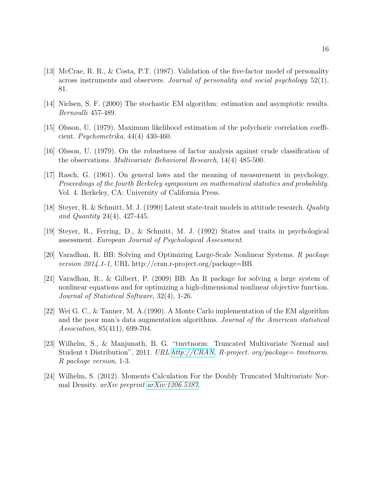- <span id="page-15-8"></span>[13] McCrae, R. R., & Costa, P.T. (1987). Validation of the five-factor model of personality across instruments and observers. Journal of personality and social psychology  $52(1)$ , 81.
- <span id="page-15-3"></span>[14] Nielsen, S. F. (2000) The stochastic EM algorithm: estimation and asymptotic results. Bernoulli 457-489.
- <span id="page-15-1"></span>[15] Olsson, U. (1979). Maximum likelihood estimation of the polychoric correlation coefficient. Psychometrika, 44(4) 430-460.
- <span id="page-15-2"></span>[16] Olsson, U. (1979). On the robustness of factor analysis against crude classification of the observations. Multivariate Behavioral Research, 14(4) 485-500.
- <span id="page-15-0"></span>[17] Rasch, G. (1961). On general laws and the meaning of measurement in psychology. Proceedings of the fourth Berkeley symposium on mathematical statistics and probability. Vol. 4. Berkeley, CA: University of California Press.
- <span id="page-15-5"></span>[18] Steyer, R. & Schmitt, M. J. (1990) Latent state-trait models in attitude research. Quality and Quantity 24(4), 427-445.
- [19] Steyer, R., Ferring, D., & Schmitt, M. J. (1992) States and traits in psychological assessment. European Journal of Psychological Assessment.
- [20] Varadhan, R. BB: Solving and Optimizing Large-Scale Nonlinear Systems. R package version 2014.1-1, URL http://cran.r-project.org/package=BB.
- <span id="page-15-7"></span>[21] Varadhan, R., & Gilbert, P. (2009) BB: An R package for solving a large system of nonlinear equations and for optimizing a high-dimensional nonlinear objective function. Journal of Statistical Software, 32(4), 1-26.
- <span id="page-15-4"></span>[22] Wei G. C., & Tanner, M. A.(1990). A Monte Carlo implementation of the EM algorithm and the poor man's data augmentation algorithms. Journal of the American statistical Association, 85(411), 699-704.
- <span id="page-15-6"></span>[23] Wilhelm, S., & Manjunath, B. G. "tmvtnorm: Truncated Multivariate Normal and Student t Distribution", 2011. URL [http://CRAN.](http://CRAN) R-project. org/package= tmvtnorm. R package version, 1-3.
- [24] Wilhelm, S. (2012). Moments Calculation For the Doubly Truncated Multivariate Normal Density. arXiv preprint [arXiv:1206.5387](http://arxiv.org/abs/1206.5387).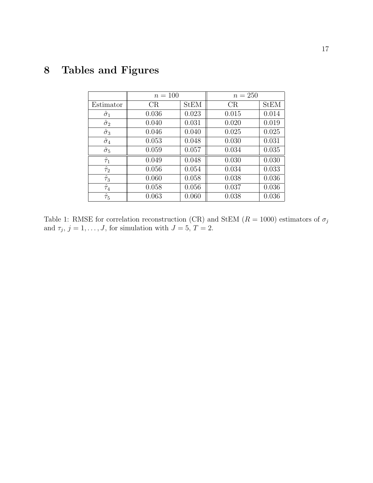|                  | $n = 100$ |             | $n = 250$ |             |  |
|------------------|-----------|-------------|-----------|-------------|--|
| Estimator        | CR        | <b>StEM</b> | CR        | <b>StEM</b> |  |
| $\hat{\sigma}_1$ | 0.036     | 0.023       | 0.015     | 0.014       |  |
| $\hat{\sigma}_2$ | 0.040     | 0.031       | 0.020     | 0.019       |  |
| $\hat{\sigma}_3$ | 0.046     | 0.040       | 0.025     | 0.025       |  |
| $\hat{\sigma}_4$ | 0.053     | 0.048       | 0.030     | 0.031       |  |
| $\hat{\sigma}_5$ | 0.059     | 0.057       | 0.034     | 0.035       |  |
| $\hat{\tau}_1$   | 0.049     | 0.048       | 0.030     | 0.030       |  |
| $\hat{\tau}_2$   | 0.056     | 0.054       | 0.034     | 0.033       |  |
| $\hat{\tau}_3$   | 0.060     | 0.058       | 0.038     | 0.036       |  |
| $\hat{\tau}_4$   | 0.058     | 0.056       | 0.037     | 0.036       |  |
| $\hat{\tau}_5$   | 0.063     | 0.060       | 0.038     | 0.036       |  |

# 8 Tables and Figures

<span id="page-16-0"></span>Table 1: RMSE for correlation reconstruction (CR) and StEM ( $R=1000$ ) estimators of  $\sigma_j$ and  $\tau_j$ ,  $j = 1, \ldots, J$ , for simulation with  $J = 5, T = 2$ .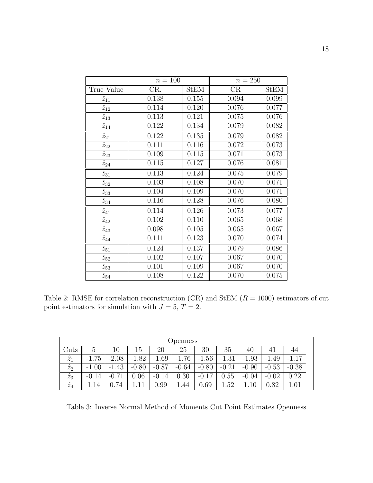|                           | $n = 100$ |       | $n = 250$              |       |
|---------------------------|-----------|-------|------------------------|-------|
| True Value                | CR.       | StEM  | $\overline{\text{CR}}$ | StEM  |
| $\hat{z}_{11}$            | 0.138     | 0.155 | 0.094                  | 0.099 |
| $\hat{z}_{12}$            | 0.114     | 0.120 | 0.076                  | 0.077 |
| $\overline{\hat{z}}_{13}$ | 0.113     | 0.121 | 0.075                  | 0.076 |
| $\hat{z}_{14}$            | 0.122     | 0.134 | 0.079                  | 0.082 |
| $\hat{z}_{21}$            | 0.122     | 0.135 | 0.079                  | 0.082 |
| $\hat{z}_{22}$            | 0.111     | 0.116 | 0.072                  | 0.073 |
| $\hat{z}_{23}$            | 0.109     | 0.115 | 0.071                  | 0.073 |
| $\hat{z}_{24}$            | 0.115     | 0.127 | 0.076                  | 0.081 |
| $\hat{z}_{31}$            | 0.113     | 0.124 | 0.075                  | 0.079 |
| $\hat{z}_{32}$            | 0.103     | 0.108 | 0.070                  | 0.071 |
| $\overline{\hat{z}_{33}}$ | 0.104     | 0.109 | 0.070                  | 0.071 |
| $\hat{z}_{34}$            | 0.116     | 0.128 | 0.076                  | 0.080 |
| $\overline{\hat{z}}_{41}$ | 0.114     | 0.126 | 0.073                  | 0.077 |
| $\overline{\hat{z}}_{42}$ | 0.102     | 0.110 | 0.065                  | 0.068 |
| $\overline{\hat{z}}_{43}$ | 0.098     | 0.105 | 0.065                  | 0.067 |
| $\overline{\hat{z}}_{44}$ | 0.111     | 0.123 | 0.070                  | 0.074 |
| $\hat{z}_{51}$            | 0.124     | 0.137 | 0.079                  | 0.086 |
| $\hat{z}_{52}$            | 0.102     | 0.107 | 0.067                  | 0.070 |
| $\hat{z}_{53}$            | 0.101     | 0.109 | 0.067                  | 0.070 |
| $\hat{z}_{54}$            | 0.108     | 0.122 | 0.070                  | 0.075 |

<span id="page-17-0"></span>Table 2: RMSE for correlation reconstruction (CR) and StEM  $(R = 1000)$  estimators of cut point estimators for simulation with  $J = 5, T = 2$ .

|                   | Openness      |         |         |         |         |         |         |         |             |         |  |
|-------------------|---------------|---------|---------|---------|---------|---------|---------|---------|-------------|---------|--|
| $\mathfrak{Iuts}$ | $\mathcal{C}$ | 10      | 15      | 20      | 25      | 30      | 35      | 40      | 41          | 44      |  |
| $\hat{z}_1$       | $-1.75$       | $-2.08$ | $-1.82$ | $-1.69$ | $-1.76$ | $-1.56$ | $-1.31$ | $-1.93$ | .49<br>$-1$ | 17      |  |
| $\hat{z}_2$       | $-1.00$       | $-1.43$ | $-0.80$ | $-0.87$ | $-0.64$ | $-0.80$ | $-0.21$ | $-0.90$ | $-0.53$     | $-0.38$ |  |
| $\hat{z}_3$       | $-0.14$       | $-0.71$ | 0.06    | $-0.14$ | 0.30    | $-0.17$ | 0.55    | $-0.04$ | $-0.02$     | 0.22    |  |
| $\hat{z}_4$       | 14            | 0.74    |         | 0.99    | .44     | 0.69    | .52     | 10      | $\rm 0.82$  | 1.01    |  |

<span id="page-17-1"></span>Table 3: Inverse Normal Method of Moments Cut Point Estimates Openness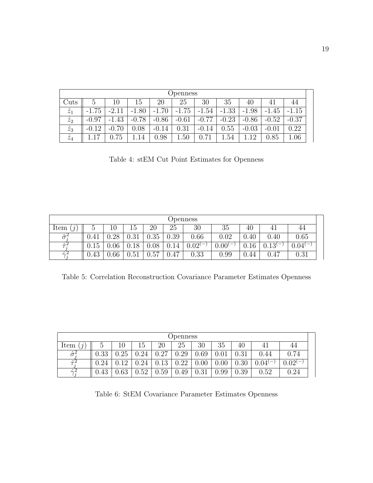|             | <b>Openness</b> |         |         |         |         |         |         |         |         |         |  |
|-------------|-----------------|---------|---------|---------|---------|---------|---------|---------|---------|---------|--|
| Cuts        | $\circ$         | 10      | 15      | 20      | 25      | 30      | 35      | 40      |         | 44      |  |
| $\hat{z}_1$ | $-1.75$         | $-2.11$ | $-1.80$ | $-1.70$ | $-1.75$ | $-1.54$ | $-1.33$ | $-1.98$ | $-1.45$ | $-1.15$ |  |
| $\hat{z}_2$ | $-0.97$         | $-1.43$ | $-0.78$ | $-0.86$ | $-0.61$ | $-0.77$ | $-0.23$ | $-0.86$ | $-0.52$ | $-0.37$ |  |
| $\hat{z}_3$ | $-0.12$         | $-0.70$ | 0.08    | $-0.14$ | 0.31    | $-0.14$ | 0.55    | $-0.03$ | $-0.01$ | 0.22    |  |
| $\hat{z}_4$ | 17              | 75      | 14      | 0.98    | .50     | 0.71    | 1.54    | 12      | 0.85    | 1.06    |  |

<span id="page-18-1"></span>Table 4: stEM Cut Point Estimates for Openness

|                    | <b>Openness</b>                  |        |      |          |      |                                   |                                        |      |            |                                        |  |
|--------------------|----------------------------------|--------|------|----------|------|-----------------------------------|----------------------------------------|------|------------|----------------------------------------|--|
| Item               | G                                | $10\,$ | 45   | 20       | 25   | 30                                | 35                                     | 40   |            | 44                                     |  |
| $\hat{\sigma}_i^2$ | 0.41                             | .28    | 0.31 | $0.35\,$ | 0.39 | 0.66                              | 0.02                                   | 0.40 | 0.40       | 0.65                                   |  |
| ヘリ                 | $\overline{\phantom{0}}$<br>0.15 | .06    | 18   | 08       | 0.14 | 0.02(<br>$\overline{\phantom{m}}$ | $0.00^{(}$<br>$\overline{\phantom{m}}$ | 0.16 | $0.13^{(}$ | $0.04^{(}$<br>$\overline{\phantom{0}}$ |  |
| $\hat{\sim}2$      | 0.43                             | 0.66   | 0.51 | 57       | 0.47 | 0.33                              | 0.99                                   | 0.44 | 0.47       | 0.31                                   |  |

<span id="page-18-2"></span>Table 5: Correlation Reconstruction Covariance Parameter Estimates Openness

|                             | Openness |      |      |      |      |      |            |      |                 |           |  |  |
|-----------------------------|----------|------|------|------|------|------|------------|------|-----------------|-----------|--|--|
| Item<br>$\boldsymbol{\eta}$ |          | 10   | 15   | 20   | 25   | 30   | 35         | 40   | 4 <sup>1</sup>  | 44        |  |  |
| $\hat{\sigma}^2$            | 0.33     | 0.25 | 0.24 | 0.27 | 0.29 | 0.69 | $\rm 0.01$ | 0.31 | .44             | 0.74      |  |  |
| $\hat{\tau}^2$              | ${).24}$ | 1 ດ  | 0.24 | 0.13 | 0.22 | 0.00 | 0.00       | 0.30 | $0.04^{\prime}$ | $0.02(-)$ |  |  |
| $\hat{\wedge}$              | 0.43     | 0.63 | 0.52 | 0.59 | 0.49 | 0.31 | .99        | 0.39 | 0.52            | 0.24      |  |  |

<span id="page-18-0"></span>Table 6: StEM Covariance Parameter Estimates Openness